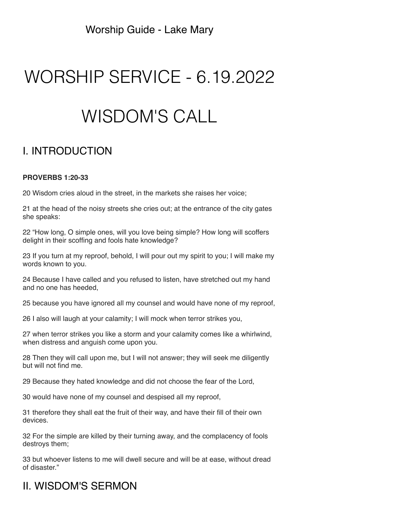Worship Guide - Lake Mary

# WORSHIP SERVICE - 6.19.2022

# WISDOM'S CALL

## I. INTRODUCTION

#### **PROVERBS 1:20-33**

20 Wisdom cries aloud in the street, in the markets she raises her voice;

21 at the head of the noisy streets she cries out; at the entrance of the city gates she speaks:

22 "How long, O simple ones, will you love being simple? How long will scoffers delight in their scoffing and fools hate knowledge?

23 If you turn at my reproof, behold, I will pour out my spirit to you; I will make my words known to you.

24 Because I have called and you refused to listen, have stretched out my hand and no one has heeded,

25 because you have ignored all my counsel and would have none of my reproof,

26 I also will laugh at your calamity; I will mock when terror strikes you,

27 when terror strikes you like a storm and your calamity comes like a whirlwind, when distress and anguish come upon you.

28 Then they will call upon me, but I will not answer; they will seek me diligently but will not find me.

29 Because they hated knowledge and did not choose the fear of the Lord,

30 would have none of my counsel and despised all my reproof,

31 therefore they shall eat the fruit of their way, and have their fill of their own devices.

32 For the simple are killed by their turning away, and the complacency of fools destroys them;

33 but whoever listens to me will dwell secure and will be at ease, without dread of disaster."

### II. WISDOM'S SERMON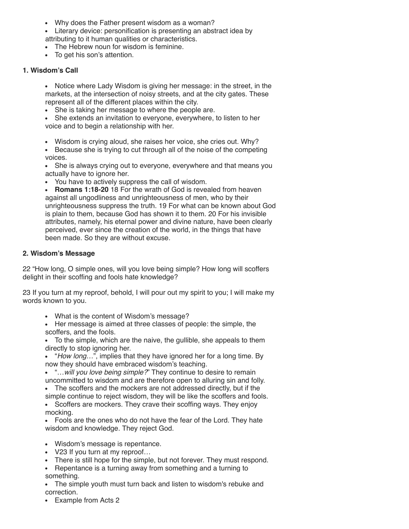- Why does the Father present wisdom as a woman?
- Literary device: personification is presenting an abstract idea by attributing to it human qualities or characteristics.
- The Hebrew noun for wisdom is feminine.
- To get his son's attention.

#### **1. Wisdom's Call**

Notice where Lady Wisdom is giving her message: in the street, in the markets, at the intersection of noisy streets, and at the city gates. These represent all of the different places within the city.

• She is taking her message to where the people are.

She extends an invitation to everyone, everywhere, to listen to her voice and to begin a relationship with her.

- Wisdom is crying aloud, she raises her voice, she cries out. Why?
- Because she is trying to cut through all of the noise of the competing voices.

She is always crying out to everyone, everywhere and that means you actually have to ignore her.

You have to actively suppress the call of wisdom.

**Romans 1:18-20** 18 For the wrath of God is revealed from heaven against all ungodliness and unrighteousness of men, who by their unrighteousness suppress the truth. 19 For what can be known about God is plain to them, because God has shown it to them. 20 For his invisible attributes, namely, his eternal power and divine nature, have been clearly perceived, ever since the creation of the world, in the things that have been made. So they are without excuse.

#### **2. Wisdom's Message**

22 "How long, O simple ones, will you love being simple? How long will scoffers delight in their scoffing and fools hate knowledge?

23 If you turn at my reproof, behold, I will pour out my spirit to you; I will make my words known to you.

What is the content of Wisdom's message?

Her message is aimed at three classes of people: the simple, the scoffers, and the fools.

To the simple, which are the naive, the gullible, she appeals to them directly to stop ignoring her.

"*How long…*", implies that they have ignored her for a long time. By now they should have embraced wisdom's teaching.

"…*will you love being simple?*" They continue to desire to remain uncommitted to wisdom and are therefore open to alluring sin and folly.

The scoffers and the mockers are not addressed directly, but if the simple continue to reject wisdom, they will be like the scoffers and fools.

• Scoffers are mockers. They crave their scoffing ways. They enjoy mocking.

Fools are the ones who do not have the fear of the Lord. They hate wisdom and knowledge. They reject God.

- Wisdom's message is repentance.
- V23 If you turn at my reproof...
- There is still hope for the simple, but not forever. They must respond.

• Repentance is a turning away from something and a turning to something.

The simple youth must turn back and listen to wisdom's rebuke and  $\bullet$ correction.

Example from Acts 2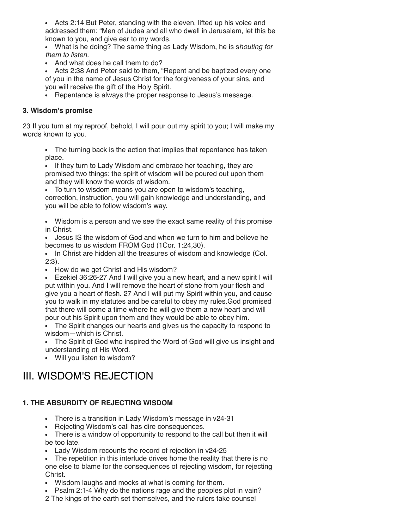Acts 2:14 But Peter, standing with the eleven, lifted up his voice and addressed them: "Men of Judea and all who dwell in Jerusalem, let this be known to you, and give ear to my words.

What is he doing? The same thing as Lady Wisdom, he is s*houting for them to listen.* 

• And what does he call them to do?

Acts 2:38 And Peter said to them, "Repent and be baptized every one of you in the name of Jesus Christ for the forgiveness of your sins, and you will receive the gift of the Holy Spirit.

• Repentance is always the proper response to Jesus's message.

#### **3. Wisdom's promise**

23 If you turn at my reproof, behold, I will pour out my spirit to you; I will make my words known to you.

The turning back is the action that implies that repentance has taken place.

• If they turn to Lady Wisdom and embrace her teaching, they are promised two things: the spirit of wisdom will be poured out upon them and they will know the words of wisdom.

To turn to wisdom means you are open to wisdom's teaching, correction, instruction, you will gain knowledge and understanding, and you will be able to follow wisdom's way.

Wisdom is a person and we see the exact same reality of this promise in Christ.

Jesus IS the wisdom of God and when we turn to him and believe he becomes to us wisdom FROM God (1Cor. 1:24,30).

• In Christ are hidden all the treasures of wisdom and knowledge (Col. 2:3).

• How do we get Christ and His wisdom?

Ezekiel 36:26-27 And I will give you a new heart, and a new spirit I will put within you. And I will remove the heart of stone from your flesh and give you a heart of flesh. 27 And I will put my Spirit within you, and cause you to walk in my statutes and be careful to obey my rules.God promised that there will come a time where he will give them a new heart and will pour out his Spirit upon them and they would be able to obey him.

The Spirit changes our hearts and gives us the capacity to respond to wisdom—which is Christ.

The Spirit of God who inspired the Word of God will give us insight and understanding of His Word.

Will you listen to wisdom?

## III. WISDOM'S REJECTION

#### **1. THE ABSURDITY OF REJECTING WISDOM**

- There is a transition in Lady Wisdom's message in v24-31
- Rejecting Wisdom's call has dire consequences.
- There is a window of opportunity to respond to the call but then it will be too late.
- Lady Wisdom recounts the record of rejection in v24-25

The repetition in this interlude drives home the reality that there is no one else to blame for the consequences of rejecting wisdom, for rejecting Christ.

- Wisdom laughs and mocks at what is coming for them.
- Psalm 2:1-4 Why do the nations rage and the peoples plot in vain?
- 2 The kings of the earth set themselves, and the rulers take counsel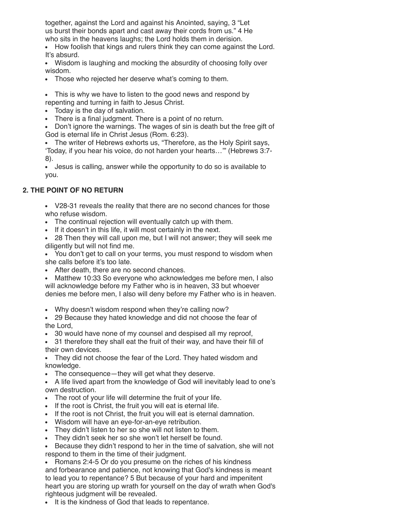together, against the Lord and against his Anointed, saying, 3 "Let us burst their bonds apart and cast away their cords from us." 4 He who sits in the heavens laughs; the Lord holds them in derision.

• How foolish that kings and rulers think they can come against the Lord. It's absurd.

Wisdom is laughing and mocking the absurdity of choosing folly over wisdom.

- Those who rejected her deserve what's coming to them.
- This is why we have to listen to the good news and respond by repenting and turning in faith to Jesus Christ.
- Today is the day of salvation.
- There is a final judgment. There is a point of no return.

Don't ignore the warnings. The wages of sin is death but the free gift of God is eternal life in Christ Jesus (Rom. 6:23).

The writer of Hebrews exhorts us, "Therefore, as the Holy Spirit says, 'Today, if you hear his voice, do not harden your hearts…'" (Hebrews 3:7- 8).

Jesus is calling, answer while the opportunity to do so is available to you.

#### **2. THE POINT OF NO RETURN**

V28-31 reveals the reality that there are no second chances for those who refuse wisdom.

- The continual rejection will eventually catch up with them.
- If it doesn't in this life, it will most certainly in the next.

28 Then they will call upon me, but I will not answer; they will seek me diligently but will not find me.

You don't get to call on your terms, you must respond to wisdom when she calls before it's too late.

After death, there are no second chances.

Matthew 10:33 So everyone who acknowledges me before men, I also will acknowledge before my Father who is in heaven, 33 but whoever denies me before men, I also will deny before my Father who is in heaven.

Why doesn't wisdom respond when they're calling now?

29 Because they hated knowledge and did not choose the fear of the Lord,

30 would have none of my counsel and despised all my reproof,

31 therefore they shall eat the fruit of their way, and have their fill of their own devices.

They did not choose the fear of the Lord. They hated wisdom and knowledge.

The consequence—they will get what they deserve.

A life lived apart from the knowledge of God will inevitably lead to one's own destruction.

- The root of your life will determine the fruit of your life.
- If the root is Christ, the fruit you will eat is eternal life.
- If the root is not Christ, the fruit you will eat is eternal damnation.
- Wisdom will have an eye-for-an-eye retribution.
- They didn't listen to her so she will not listen to them.
- They didn't seek her so she won't let herself be found.

Because they didn't respond to her in the time of salvation, she will not respond to them in the time of their judgment.

• Romans 2:4-5 Or do you presume on the riches of his kindness and forbearance and patience, not knowing that God's kindness is meant to lead you to repentance? 5 But because of your hard and impenitent heart you are storing up wrath for yourself on the day of wrath when God's righteous judgment will be revealed.

It is the kindness of God that leads to repentance.